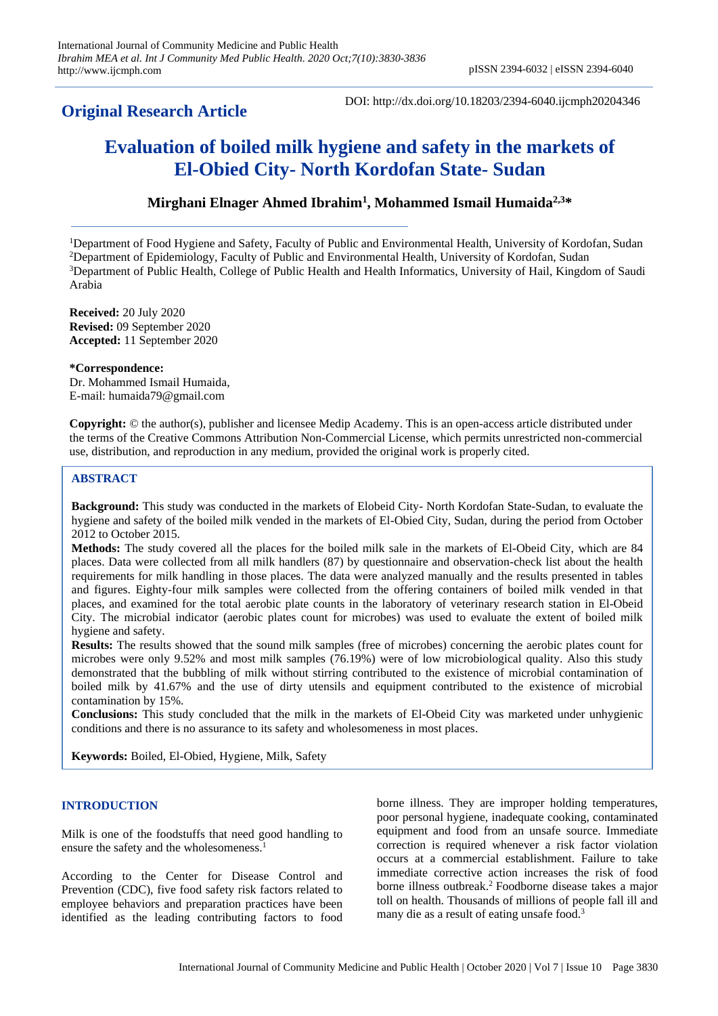# **Original Research Article**

DOI: http://dx.doi.org/10.18203/2394-6040.ijcmph20204346

# **Evaluation of boiled milk hygiene and safety in the markets of El-Obied City- North Kordofan State- Sudan**

# **Mirghani Elnager Ahmed Ibrahim<sup>1</sup> , Mohammed Ismail Humaida2,3\***

Department of Food Hygiene and Safety, Faculty of Public and Environmental Health, University of Kordofan, Sudan Department of Epidemiology, Faculty of Public and Environmental Health, University of Kordofan, Sudan Department of Public Health, College of Public Health and Health Informatics, University of Hail, Kingdom of Saudi Arabia

**Received:** 20 July 2020 **Revised:** 09 September 2020 **Accepted:** 11 September 2020

**\*Correspondence:** Dr. Mohammed Ismail Humaida, E-mail: humaida79@gmail.com

**Copyright:** © the author(s), publisher and licensee Medip Academy. This is an open-access article distributed under the terms of the Creative Commons Attribution Non-Commercial License, which permits unrestricted non-commercial use, distribution, and reproduction in any medium, provided the original work is properly cited.

# **ABSTRACT**

**Background:** This study was conducted in the markets of Elobeid City- North Kordofan State-Sudan, to evaluate the hygiene and safety of the boiled milk vended in the markets of El-Obied City, Sudan, during the period from October 2012 to October 2015.

**Methods:** The study covered all the places for the boiled milk sale in the markets of El-Obeid City, which are 84 places. Data were collected from all milk handlers (87) by questionnaire and observation-check list about the health requirements for milk handling in those places. The data were analyzed manually and the results presented in tables and figures. Eighty-four milk samples were collected from the offering containers of boiled milk vended in that places, and examined for the total aerobic plate counts in the laboratory of veterinary research station in El-Obeid City. The microbial indicator (aerobic plates count for microbes) was used to evaluate the extent of boiled milk hygiene and safety.

**Results:** The results showed that the sound milk samples (free of microbes) concerning the aerobic plates count for microbes were only 9.52% and most milk samples (76.19%) were of low microbiological quality. Also this study demonstrated that the bubbling of milk without stirring contributed to the existence of microbial contamination of boiled milk by 41.67% and the use of dirty utensils and equipment contributed to the existence of microbial contamination by 15%.

**Conclusions:** This study concluded that the milk in the markets of El-Obeid City was marketed under unhygienic conditions and there is no assurance to its safety and wholesomeness in most places.

**Keywords:** Boiled, El-Obied, Hygiene, Milk, Safety

# **INTRODUCTION**

Milk is one of the foodstuffs that need good handling to ensure the safety and the wholesomeness.<sup>1</sup>

According to the Center for Disease Control and Prevention (CDC), five food safety risk factors related to employee behaviors and preparation practices have been identified as the leading contributing factors to food borne illness. They are improper holding temperatures, poor personal hygiene, inadequate cooking, contaminated equipment and food from an unsafe source. Immediate correction is required whenever a risk factor violation occurs at a commercial establishment. Failure to take immediate corrective action increases the risk of food borne illness outbreak.<sup>2</sup> Foodborne disease takes a major toll on health. Thousands of millions of people fall ill and many die as a result of eating unsafe food.<sup>3</sup>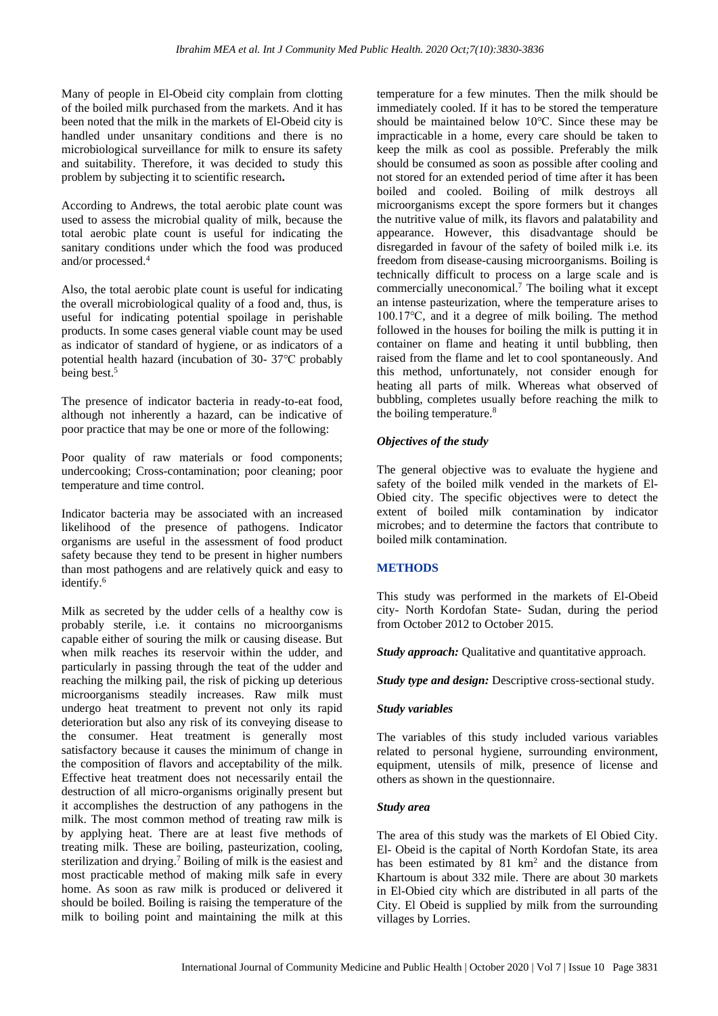Many of people in El-Obeid city complain from clotting of the boiled milk purchased from the markets. And it has been noted that the milk in the markets of El-Obeid city is handled under unsanitary conditions and there is no microbiological surveillance for milk to ensure its safety and suitability. Therefore, it was decided to study this problem by subjecting it to scientific research**.**

According to Andrews, the total aerobic plate count was used to assess the microbial quality of milk, because the total aerobic plate count is useful for indicating the sanitary conditions under which the food was produced and/or processed.<sup>4</sup>

Also, the total aerobic plate count is useful for indicating the overall microbiological quality of a food and, thus, is useful for indicating potential spoilage in perishable products. In some cases general viable count may be used as indicator of standard of hygiene, or as indicators of a potential health hazard (incubation of 30- 37℃ probably being best.<sup>5</sup>

The presence of indicator bacteria in ready-to-eat food, although not inherently a hazard, can be indicative of poor practice that may be one or more of the following:

Poor quality of raw materials or food components; undercooking; Cross-contamination; poor cleaning; poor temperature and time control.

Indicator bacteria may be associated with an increased likelihood of the presence of pathogens. Indicator organisms are useful in the assessment of food product safety because they tend to be present in higher numbers than most pathogens and are relatively quick and easy to identify.<sup>6</sup>

Milk as secreted by the udder cells of a healthy cow is probably sterile, i.e. it contains no microorganisms capable either of souring the milk or causing disease. But when milk reaches its reservoir within the udder, and particularly in passing through the teat of the udder and reaching the milking pail, the risk of picking up deterious microorganisms steadily increases. Raw milk must undergo heat treatment to prevent not only its rapid deterioration but also any risk of its conveying disease to the consumer. Heat treatment is generally most satisfactory because it causes the minimum of change in the composition of flavors and acceptability of the milk. Effective heat treatment does not necessarily entail the destruction of all micro-organisms originally present but it accomplishes the destruction of any pathogens in the milk. The most common method of treating raw milk is by applying heat. There are at least five methods of treating milk. These are boiling, pasteurization, cooling, sterilization and drying. <sup>7</sup> Boiling of milk is the easiest and most practicable method of making milk safe in every home. As soon as raw milk is produced or delivered it should be boiled. Boiling is raising the temperature of the milk to boiling point and maintaining the milk at this

temperature for a few minutes. Then the milk should be immediately cooled. If it has to be stored the temperature should be maintained below 10℃. Since these may be impracticable in a home, every care should be taken to keep the milk as cool as possible. Preferably the milk should be consumed as soon as possible after cooling and not stored for an extended period of time after it has been boiled and cooled. Boiling of milk destroys all microorganisms except the spore formers but it changes the nutritive value of milk, its flavors and palatability and appearance. However, this disadvantage should be disregarded in favour of the safety of boiled milk i.e. its freedom from disease-causing microorganisms. Boiling is technically difficult to process on a large scale and is commercially uneconomical.<sup>7</sup> The boiling what it except an intense pasteurization, where the temperature arises to 100.17℃, and it a degree of milk boiling. The method followed in the houses for boiling the milk is putting it in container on flame and heating it until bubbling, then raised from the flame and let to cool spontaneously. And this method, unfortunately, not consider enough for heating all parts of milk. Whereas what observed of bubbling, completes usually before reaching the milk to the boiling temperature.<sup>8</sup>

#### *Objectives of the study*

The general objective was to evaluate the hygiene and safety of the boiled milk vended in the markets of El-Obied city. The specific objectives were to detect the extent of boiled milk contamination by indicator microbes; and to determine the factors that contribute to boiled milk contamination.

# **METHODS**

This study was performed in the markets of El-Obeid city- North Kordofan State- Sudan, during the period from October 2012 to October 2015.

*Study approach:* Qualitative and quantitative approach.

*Study type and design:* Descriptive cross-sectional study.

#### *Study variables*

The variables of this study included various variables related to personal hygiene, surrounding environment, equipment, utensils of milk, presence of license and others as shown in the questionnaire.

# *Study area*

The area of this study was the markets of El Obied City. El- Obeid is the capital of North Kordofan State, its area has been estimated by  $81 \text{ km}^2$  and the distance from Khartoum is about 332 mile. There are about 30 markets in El-Obied city which are distributed in all parts of the City. El Obeid is supplied by milk from the surrounding villages by Lorries.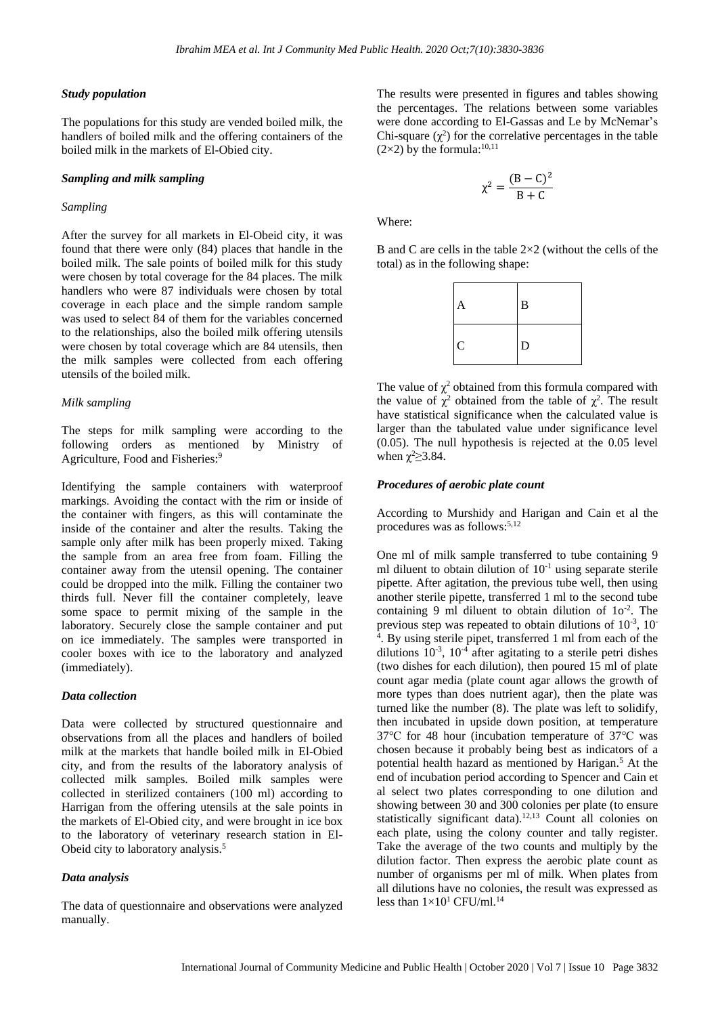#### *Study population*

The populations for this study are vended boiled milk, the handlers of boiled milk and the offering containers of the boiled milk in the markets of El-Obied city.

#### *Sampling and milk sampling*

#### *Sampling*

After the survey for all markets in El-Obeid city, it was found that there were only (84) places that handle in the boiled milk. The sale points of boiled milk for this study were chosen by total coverage for the 84 places. The milk handlers who were 87 individuals were chosen by total coverage in each place and the simple random sample was used to select 84 of them for the variables concerned to the relationships, also the boiled milk offering utensils were chosen by total coverage which are 84 utensils, then the milk samples were collected from each offering utensils of the boiled milk.

#### *Milk sampling*

The steps for milk sampling were according to the following orders as mentioned by Ministry of Agriculture, Food and Fisheries:<sup>9</sup>

Identifying the sample containers with waterproof markings. Avoiding the contact with the rim or inside of the container with fingers, as this will contaminate the inside of the container and alter the results. Taking the sample only after milk has been properly mixed. Taking the sample from an area free from foam. Filling the container away from the utensil opening. The container could be dropped into the milk. Filling the container two thirds full. Never fill the container completely, leave some space to permit mixing of the sample in the laboratory. Securely close the sample container and put on ice immediately. The samples were transported in cooler boxes with ice to the laboratory and analyzed (immediately).

# *Data collection*

Data were collected by structured questionnaire and observations from all the places and handlers of boiled milk at the markets that handle boiled milk in El-Obied city, and from the results of the laboratory analysis of collected milk samples. Boiled milk samples were collected in sterilized containers (100 ml) according to Harrigan from the offering utensils at the sale points in the markets of El-Obied city, and were brought in ice box to the laboratory of veterinary research station in El-Obeid city to laboratory analysis.<sup>5</sup>

#### *Data analysis*

The data of questionnaire and observations were analyzed manually.

The results were presented in figures and tables showing the percentages. The relations between some variables were done according to El-Gassas and Le by McNemar's Chi-square  $(\chi^2)$  for the correlative percentages in the table  $(2\times2)$  by the formula:<sup>10,11</sup>

$$
\chi^2 = \frac{(B-C)^2}{B+C}
$$

Where:

B and C are cells in the table  $2\times 2$  (without the cells of the total) as in the following shape:

| A            | $\bf{B}$    |
|--------------|-------------|
| $\mathsf{C}$ | $\mathbf D$ |

The value of  $\chi^2$  obtained from this formula compared with the value of  $\chi^2$  obtained from the table of  $\chi^2$ . The result have statistical significance when the calculated value is larger than the tabulated value under significance level (0.05). The null hypothesis is rejected at the 0.05 level when  $\chi^2 \geq 3.84$ .

#### *Procedures of aerobic plate count*

According to Murshidy and Harigan and Cain et al the procedures was as follows:<sup>5,12</sup>

One ml of milk sample transferred to tube containing 9 ml diluent to obtain dilution of  $10^{-1}$  using separate sterile pipette. After agitation, the previous tube well, then using another sterile pipette, transferred 1 ml to the second tube containing 9 ml diluent to obtain dilution of  $10^{-2}$ . The previous step was repeated to obtain dilutions of  $10^{-3}$ ,  $10^{-3}$ 4 . By using sterile pipet, transferred 1 ml from each of the dilutions  $10^{-3}$ ,  $10^{-4}$  after agitating to a sterile petri dishes (two dishes for each dilution), then poured 15 ml of plate count agar media (plate count agar allows the growth of more types than does nutrient agar), then the plate was turned like the number (8). The plate was left to solidify, then incubated in upside down position, at temperature 37℃ for 48 hour (incubation temperature of 37℃ was chosen because it probably being best as indicators of a potential health hazard as mentioned by Harigan.<sup>5</sup> At the end of incubation period according to Spencer and Cain et al select two plates corresponding to one dilution and showing between 30 and 300 colonies per plate (to ensure statistically significant data).<sup>12,13</sup> Count all colonies on each plate, using the colony counter and tally register. Take the average of the two counts and multiply by the dilution factor. Then express the aerobic plate count as number of organisms per ml of milk. When plates from all dilutions have no colonies, the result was expressed as less than  $1\times10^{1}$  CFU/ml.<sup>14</sup>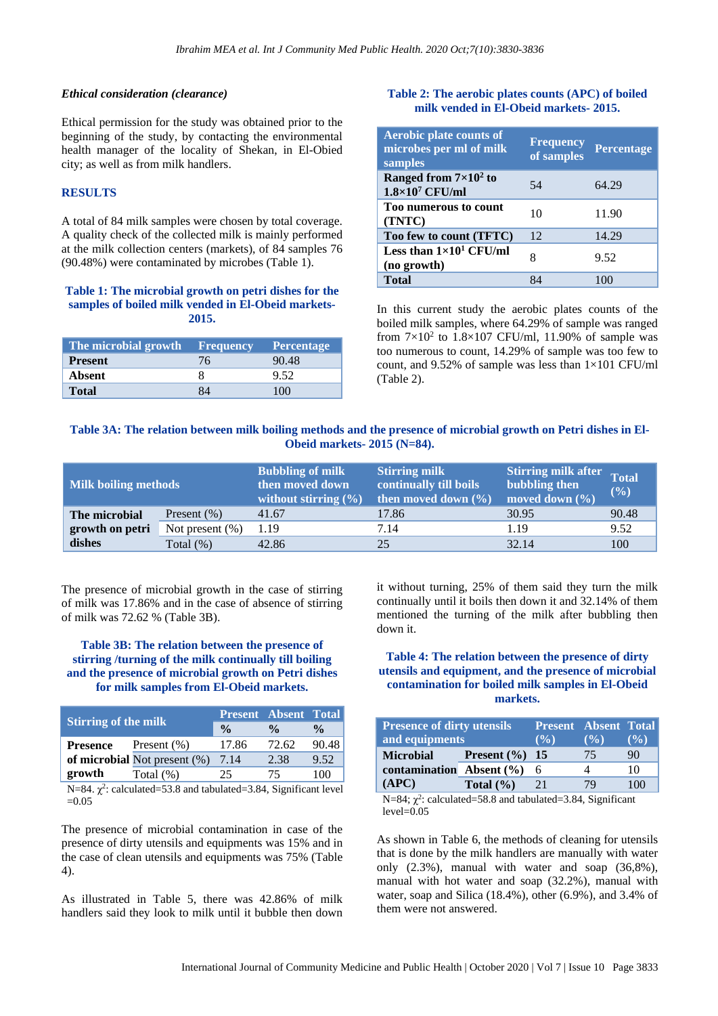#### *Ethical consideration (clearance)*

Ethical permission for the study was obtained prior to the beginning of the study, by contacting the environmental health manager of the locality of Shekan, in El-Obied city; as well as from milk handlers.

#### **RESULTS**

A total of 84 milk samples were chosen by total coverage. A quality check of the collected milk is mainly performed at the milk collection centers (markets), of 84 samples 76 (90.48%) were contaminated by microbes (Table 1).

#### **Table 1: The microbial growth on petri dishes for the samples of boiled milk vended in El-Obeid markets-2015.**

| The microbial growth Frequency |    | <b>Percentage</b> |
|--------------------------------|----|-------------------|
| <b>Present</b>                 | 76 | 90.48             |
| Absent                         |    | 9.52              |
| <b>Total</b>                   |    | 100               |

#### **Table 2: The aerobic plates counts (APC) of boiled milk vended in El-Obeid markets- 2015.**

| <b>Aerobic plate counts of</b><br>microbes per ml of milk<br>samples | <b>Frequency</b><br>of samples | <b>Percentage</b> |
|----------------------------------------------------------------------|--------------------------------|-------------------|
| Ranged from $7\times10^2$ to<br>$1.8\times10^7$ CFU/ml               | 54                             | 64.29             |
| <b>Too numerous to count</b><br>(TNTC)                               | 10                             | 11.90             |
| Too few to count (TFTC)                                              | 12                             | 14.29             |
| Less than $1\times10^1$ CFU/ml<br>(no growth)                        | 8                              | 9.52              |
| <b>Total</b>                                                         | 84                             |                   |

In this current study the aerobic plates counts of the boiled milk samples, where 64.29% of sample was ranged from  $7 \times 10^2$  to 1.8 $\times 107$  CFU/ml, 11.90% of sample was too numerous to count, 14.29% of sample was too few to count, and 9.52% of sample was less than  $1\times101$  CFU/ml (Table 2).

# **Table 3A: The relation between milk boiling methods and the presence of microbial growth on Petri dishes in El-Obeid markets- 2015 (N=84).**

| <b>Milk boiling methods</b> |                    | <b>Bubbling of milk</b><br>then moved down<br>without stirring $(\% )$ | <b>Stirring milk</b><br>continually till boils<br>then moved down $(\% )$ | <b>Stirring milk after</b><br>bubbling then<br>moved down $(\% )$ | <b>Total</b><br>(9/0) |
|-----------------------------|--------------------|------------------------------------------------------------------------|---------------------------------------------------------------------------|-------------------------------------------------------------------|-----------------------|
| The microbial               | Present $(\% )$    | 41.67                                                                  | 17.86                                                                     | 30.95                                                             | 90.48                 |
| growth on petri             | Not present $(\%)$ | 1.19                                                                   | 7.14                                                                      | 1.19                                                              | 9.52                  |
| dishes                      | Total $(\%)$       | 42.86                                                                  | 25                                                                        | 32.14                                                             | 100                   |

The presence of microbial growth in the case of stirring of milk was 17.86% and in the case of absence of stirring of milk was 72.62 % (Table 3B).

# **Table 3B: The relation between the presence of stirring /turning of the milk continually till boiling and the presence of microbial growth on Petri dishes for milk samples from El-Obeid markets.**

| <b>Stirring of the milk</b>    |                                     | <b>Present Absent Total</b> |               |                    |
|--------------------------------|-------------------------------------|-----------------------------|---------------|--------------------|
|                                |                                     | $\frac{0}{0}$               | $\frac{0}{0}$ | $\frac{0}{\alpha}$ |
| <b>Presence</b>                | Present $(\% )$                     | 17.86                       | 72.62         | 90.48              |
|                                | of microbial Not present $(\%)$     | 7.14                        | 2.38          | 9.52               |
| growth                         | Total $(\%)$                        | 25                          | 75            | 100                |
| $\mathbf{r}$ $\alpha$ $\alpha$ | $1 \quad 1 \quad 1 \quad 2 \quad 0$ | 1.1.1.00101                 |               |                    |

N=84.  $\chi^2$ : calculated=53.8 and tabulated=3.84, Significant level  $=0.05$ 

The presence of microbial contamination in case of the presence of dirty utensils and equipments was 15% and in the case of clean utensils and equipments was 75% (Table 4).

As illustrated in Table 5, there was 42.86% of milk handlers said they look to milk until it bubble then down it without turning, 25% of them said they turn the milk continually until it boils then down it and 32.14% of them mentioned the turning of the milk after bubbling then down it.

#### **Table 4: The relation between the presence of dirty utensils and equipment, and the presence of microbial contamination for boiled milk samples in El-Obeid markets.**

| <b>Presence of dirty utensils</b><br>and equipments |                   | <b>Present Absent Total</b><br>(9/0) | $($ %) | $($ %) |
|-----------------------------------------------------|-------------------|--------------------------------------|--------|--------|
| <b>Microbial</b>                                    | Present $(\%)$ 15 |                                      | 75     | 90     |
| contamination Absent $(\% )$                        |                   | - 6                                  |        | 10     |
| (APC)                                               | Total $(\% )$     | 21                                   | 7Q     | 100    |

N=84;  $\chi^2$ : calculated=58.8 and tabulated=3.84, Significant  $level=0.05$ 

As shown in Table 6, the methods of cleaning for utensils that is done by the milk handlers are manually with water only (2.3%), manual with water and soap (36,8%), manual with hot water and soap (32.2%), manual with water, soap and Silica (18.4%), other (6.9%), and 3.4% of them were not answered.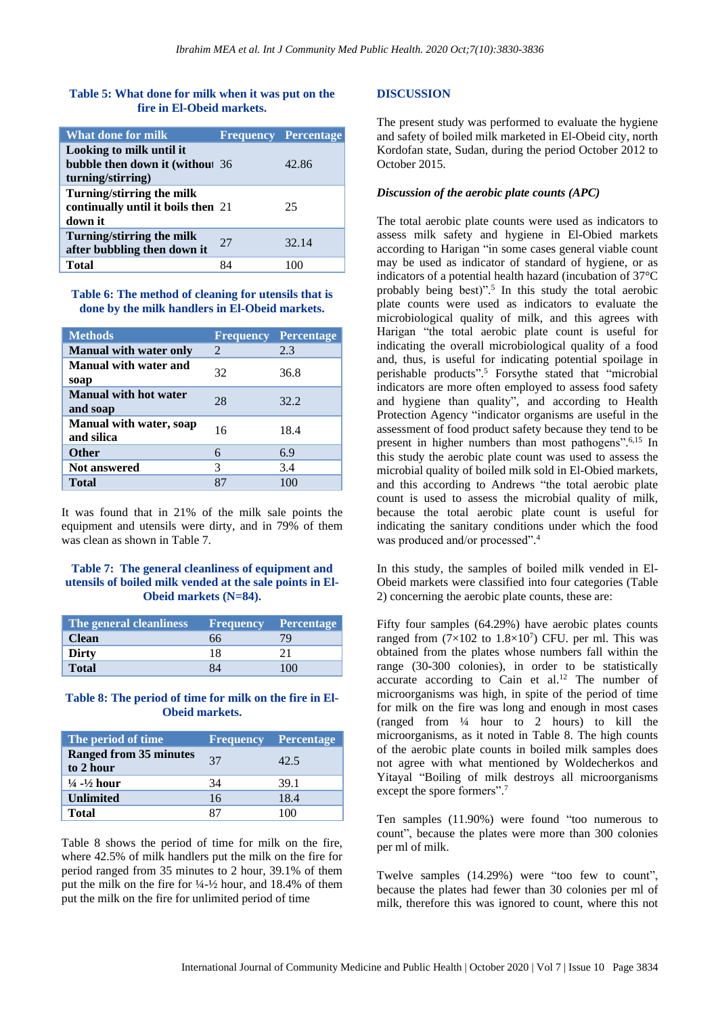#### **Table 5: What done for milk when it was put on the fire in El-Obeid markets.**

| What done for milk                                                               |    | <b>Frequency Percentage</b> |
|----------------------------------------------------------------------------------|----|-----------------------------|
| Looking to milk until it<br>bubble then down it (without 36<br>turning/stirring) |    | 42.86                       |
| Turning/stirring the milk<br>continually until it boils then 21<br>down it       |    | 25                          |
| Turning/stirring the milk<br>after bubbling then down it                         | 27 | 32.14                       |
| Total                                                                            |    |                             |

**Table 6: The method of cleaning for utensils that is done by the milk handlers in El-Obeid markets.**

| <b>Methods</b>                               |               | <b>Frequency Percentage</b> |
|----------------------------------------------|---------------|-----------------------------|
| <b>Manual with water only</b>                | $\mathcal{L}$ | 2.3                         |
| <b>Manual with water and</b><br>soap         | 32            | 36.8                        |
| <b>Manual with hot water</b><br>and soap     | 28            | 32.2                        |
| <b>Manual with water, soap</b><br>and silica | 16            | 18.4                        |
| <b>Other</b>                                 | 6             | 6.9                         |
| <b>Not answered</b>                          | 3             | 3.4                         |
| Total                                        | 87            | 100                         |

It was found that in 21% of the milk sale points the equipment and utensils were dirty, and in 79% of them was clean as shown in Table 7.

#### **Table 7: The general cleanliness of equipment and utensils of boiled milk vended at the sale points in El-Obeid markets (N=84).**

| The general cleanliness |    | <b>Frequency Percentage</b> |
|-------------------------|----|-----------------------------|
| <b>Clean</b>            | 66 | 79                          |
| <b>Dirty</b>            | 18 |                             |
| <b>Total</b>            |    | (1)                         |

# **Table 8: The period of time for milk on the fire in El-Obeid markets.**

| The period of time                         |    | <b>Frequency Percentage</b> |
|--------------------------------------------|----|-----------------------------|
| <b>Ranged from 35 minutes</b><br>to 2 hour | 37 | 42.5                        |
| $\frac{1}{4}$ - $\frac{1}{2}$ hour         | 34 | 39.1                        |
| <b>Unlimited</b>                           | 16 | 18.4                        |
| <b>Total</b>                               | 87 | 100                         |

Table 8 shows the period of time for milk on the fire, where 42.5% of milk handlers put the milk on the fire for period ranged from 35 minutes to 2 hour, 39.1% of them put the milk on the fire for ¼-½ hour, and 18.4% of them put the milk on the fire for unlimited period of time

#### **DISCUSSION**

The present study was performed to evaluate the hygiene and safety of boiled milk marketed in El-Obeid city, north Kordofan state, Sudan, during the period October 2012 to October 2015.

#### *Discussion of the aerobic plate counts (APC)*

The total aerobic plate counts were used as indicators to assess milk safety and hygiene in El-Obied markets according to Harigan "in some cases general viable count may be used as indicator of standard of hygiene, or as indicators of a potential health hazard (incubation of 37°C probably being best)". 5 In this study the total aerobic plate counts were used as indicators to evaluate the microbiological quality of milk, and this agrees with Harigan "the total aerobic plate count is useful for indicating the overall microbiological quality of a food and, thus, is useful for indicating potential spoilage in perishable products". <sup>5</sup> Forsythe stated that "microbial indicators are more often employed to assess food safety and hygiene than quality", and according to Health Protection Agency "indicator organisms are useful in the assessment of food product safety because they tend to be present in higher numbers than most pathogens". 6,15 In this study the aerobic plate count was used to assess the microbial quality of boiled milk sold in El-Obied markets, and this according to Andrews "the total aerobic plate count is used to assess the microbial quality of milk, because the total aerobic plate count is useful for indicating the sanitary conditions under which the food was produced and/or processed". 4

In this study, the samples of boiled milk vended in El-Obeid markets were classified into four categories (Table 2) concerning the aerobic plate counts, these are:

Fifty four samples (64.29%) have aerobic plates counts ranged from  $(7\times102$  to  $1.8\times10^7)$  CFU. per ml. This was obtained from the plates whose numbers fall within the range (30**-**300 colonies), in order to be statistically accurate according to Cain et al. $12$  The number of microorganisms was high, in spite of the period of time for milk on the fire was long and enough in most cases (ranged from ¼ hour to 2 hours) to kill the microorganisms, as it noted in Table 8. The high counts of the aerobic plate counts in boiled milk samples does not agree with what mentioned by Woldecherkos and Yitayal "Boiling of milk destroys all microorganisms except the spore formers".<sup>7</sup>

Ten samples (11.90%) were found "too numerous to count", because the plates were more than 300 colonies per ml of milk.

Twelve samples (14.29%) were "too few to count", because the plates had fewer than 30 colonies per ml of milk, therefore this was ignored to count, where this not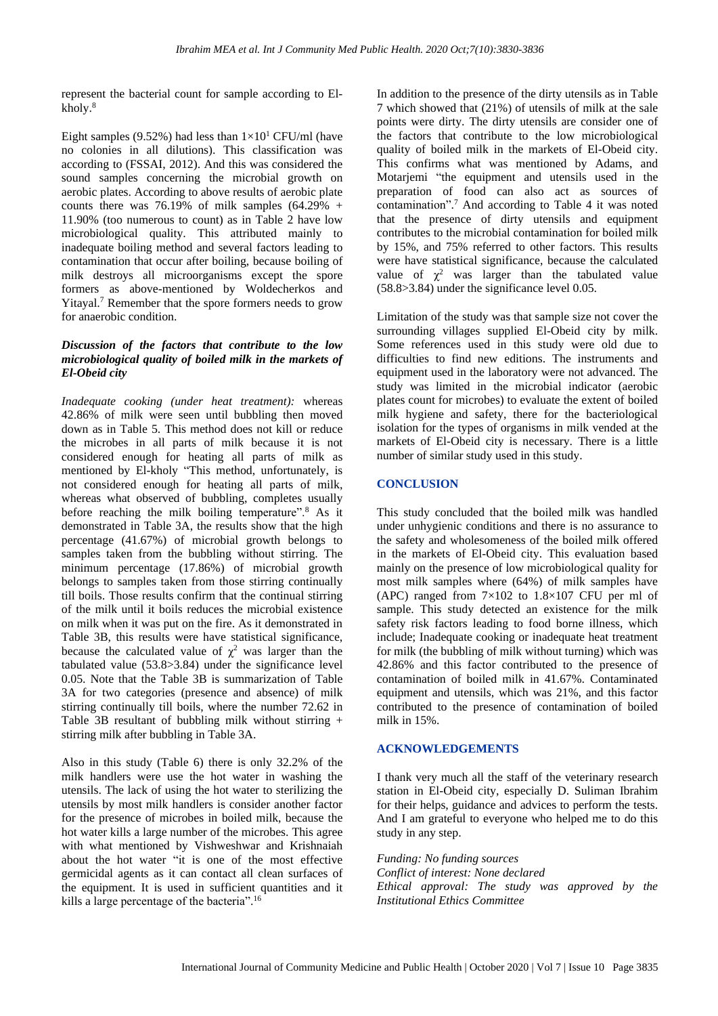represent the bacterial count for sample according to Elkholy.<sup>8</sup>

Eight samples (9.52%) had less than  $1\times10^{1}$  CFU/ml (have no colonies in all dilutions). This classification was according to (FSSAI, 2012). And this was considered the sound samples concerning the microbial growth on aerobic plates. According to above results of aerobic plate counts there was 76.19% of milk samples  $(64.29\% +$ 11.90% (too numerous to count) as in Table 2 have low microbiological quality. This attributed mainly to inadequate boiling method and several factors leading to contamination that occur after boiling, because boiling of milk destroys all microorganisms except the spore formers as above-mentioned by Woldecherkos and Yitayal.<sup>7</sup> Remember that the spore formers needs to grow for anaerobic condition.

### *Discussion of the factors that contribute to the low microbiological quality of boiled milk in the markets of El-Obeid city*

*Inadequate cooking (under heat treatment):* whereas 42.86% of milk were seen until bubbling then moved down as in Table 5. This method does not kill or reduce the microbes in all parts of milk because it is not considered enough for heating all parts of milk as mentioned by El-kholy "This method, unfortunately, is not considered enough for heating all parts of milk, whereas what observed of bubbling, completes usually before reaching the milk boiling temperature".<sup>8</sup> As it demonstrated in Table 3A, the results show that the high percentage (41.67%) of microbial growth belongs to samples taken from the bubbling without stirring. The minimum percentage (17.86%) of microbial growth belongs to samples taken from those stirring continually till boils. Those results confirm that the continual stirring of the milk until it boils reduces the microbial existence on milk when it was put on the fire. As it demonstrated in Table 3B, this results were have statistical significance, because the calculated value of  $\chi^2$  was larger than the tabulated value (53.8>3.84) under the significance level 0.05. Note that the Table 3B is summarization of Table 3A for two categories (presence and absence) of milk stirring continually till boils, where the number 72.62 in Table 3B resultant of bubbling milk without stirring + stirring milk after bubbling in Table 3A.

Also in this study (Table 6) there is only 32.2% of the milk handlers were use the hot water in washing the utensils. The lack of using the hot water to sterilizing the utensils by most milk handlers is consider another factor for the presence of microbes in boiled milk, because the hot water kills a large number of the microbes. This agree with what mentioned by Vishweshwar and Krishnaiah about the hot water "it is one of the most effective germicidal agents as it can contact all clean surfaces of the equipment. It is used in sufficient quantities and it kills a large percentage of the bacteria".<sup>16</sup>

In addition to the presence of the dirty utensils as in Table 7 which showed that (21%) of utensils of milk at the sale points were dirty. The dirty utensils are consider one of the factors that contribute to the low microbiological quality of boiled milk in the markets of El-Obeid city. This confirms what was mentioned by Adams, and Motarjemi "the equipment and utensils used in the preparation of food can also act as sources of contamination". <sup>7</sup> And according to Table 4 it was noted that the presence of dirty utensils and equipment contributes to the microbial contamination for boiled milk by 15%, and 75% referred to other factors. This results were have statistical significance, because the calculated value of  $\chi^2$  was larger than the tabulated value (58.8>3.84) under the significance level 0.05.

Limitation of the study was that sample size not cover the surrounding villages supplied El-Obeid city by milk. Some references used in this study were old due to difficulties to find new editions. The instruments and equipment used in the laboratory were not advanced. The study was limited in the microbial indicator (aerobic plates count for microbes) to evaluate the extent of boiled milk hygiene and safety, there for the bacteriological isolation for the types of organisms in milk vended at the markets of El-Obeid city is necessary. There is a little number of similar study used in this study.

#### **CONCLUSION**

This study concluded that the boiled milk was handled under unhygienic conditions and there is no assurance to the safety and wholesomeness of the boiled milk offered in the markets of El-Obeid city. This evaluation based mainly on the presence of low microbiological quality for most milk samples where (64%) of milk samples have (APC) ranged from  $7\times102$  to  $1.8\times107$  CFU per ml of sample. This study detected an existence for the milk safety risk factors leading to food borne illness, which include; Inadequate cooking or inadequate heat treatment for milk (the bubbling of milk without turning) which was 42.86% and this factor contributed to the presence of contamination of boiled milk in 41.67%. Contaminated equipment and utensils, which was 21%, and this factor contributed to the presence of contamination of boiled milk in 15%.

#### **ACKNOWLEDGEMENTS**

I thank very much all the staff of the veterinary research station in El-Obeid city, especially D. Suliman Ibrahim for their helps, guidance and advices to perform the tests. And I am grateful to everyone who helped me to do this study in any step.

*Funding: No funding sources Conflict of interest: None declared Ethical approval: The study was approved by the Institutional Ethics Committee*